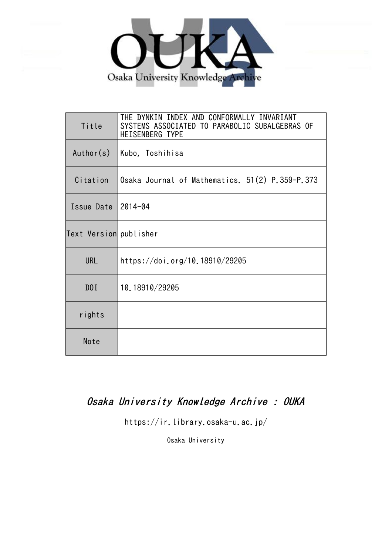

| Title                  | THE DYNKIN INDEX AND CONFORMALLY INVARIANT<br>SYSTEMS ASSOCIATED TO PARABOLIC SUBALGEBRAS OF<br>HEISENBERG TYPE |
|------------------------|-----------------------------------------------------------------------------------------------------------------|
| Author(s)              | Kubo, Toshihisa                                                                                                 |
| Citation               | Osaka Journal of Mathematics. 51(2) P.359-P.373                                                                 |
| Issue Date 2014-04     |                                                                                                                 |
| Text Version publisher |                                                                                                                 |
| <b>URL</b>             | https://doi.org/10.18910/29205                                                                                  |
| D0I                    | 10.18910/29205                                                                                                  |
| rights                 |                                                                                                                 |
| Note                   |                                                                                                                 |

# Osaka University Knowledge Archive : OUKA

https://ir.library.osaka-u.ac.jp/

Osaka University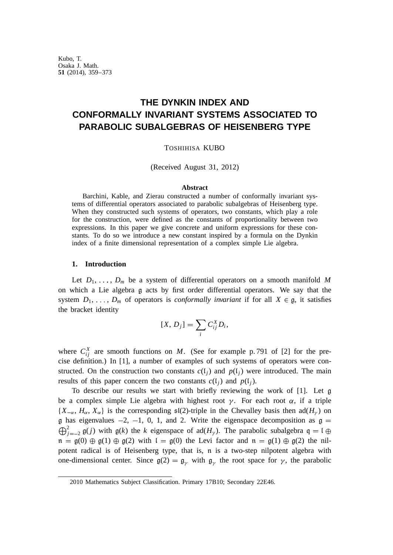Kubo, T. Osaka J. Math. **51** (2014), 359–373

# **THE DYNKIN INDEX AND CONFORMALLY INVARIANT SYSTEMS ASSOCIATED TO PARABOLIC SUBALGEBRAS OF HEISENBERG TYPE**

TOSHIHISA KUBO

(Received August 31, 2012)

#### **Abstract**

Barchini, Kable, and Zierau constructed a number of conformally invariant systems of differential operators associated to parabolic subalgebras of Heisenberg type. When they constructed such systems of operators, two constants, which play a role for the construction, were defined as the constants of proportionality between two expressions. In this paper we give concrete and uniform expressions for these constants. To do so we introduce a new constant inspired by a formula on the Dynkin index of a finite dimensional representation of a complex simple Lie algebra.

### **1. Introduction**

Let  $D_1, \ldots, D_m$  be a system of differential operators on a smooth manifold M on which a Lie algebra g acts by first order differential operators. We say that the system  $D_1, \ldots, D_m$  of operators is *conformally invariant* if for all  $X \in \mathfrak{g}$ , it satisfies the bracket identity

$$
[X, D_j] = \sum_i C_{ij}^X D_i,
$$

where  $C_{ij}^X$  are smooth functions on *M*. (See for example p. 791 of [2] for the precise definition.) In [1], a number of examples of such systems of operators were constructed. On the construction two constants  $c(l_i)$  and  $p(l_i)$  were introduced. The main results of this paper concern the two constants  $c(l_i)$  and  $p(l_i)$ .

To describe our results we start with briefly reviewing the work of [1]. Let g be a complex simple Lie algebra with highest root  $\gamma$ . For each root  $\alpha$ , if a triple  ${X_{-\alpha}, H_{\alpha}, X_{\alpha}}$  is the corresponding  $\mathfrak{sl}(2)$ -triple in the Chevalley basis then  $\text{ad}(H_{\nu})$  on  $\mathfrak g$  has eigenvalues  $-2$ ,  $-1$ , 0, 1, and 2. Write the eigenspace decomposition as  $\mathfrak g$  =  $\bigoplus_{j=-2}^{2}$  g(*j*) with g(*k*) the *k* eigenspace of ad(*H<sub>y</sub>*). The parabolic subalgebra  $q = 1 \oplus$  $n = g(0) \oplus g(1) \oplus g(2)$  with  $l = g(0)$  the Levi factor and  $n = g(1) \oplus g(2)$  the nilpotent radical is of Heisenberg type, that is, n is a two-step nilpotent algebra with one-dimensional center. Since  $g(2) = g_{\gamma}$  with  $g_{\gamma}$  the root space for  $\gamma$ , the parabolic

<sup>2010</sup> Mathematics Subject Classification. Primary 17B10; Secondary 22E46.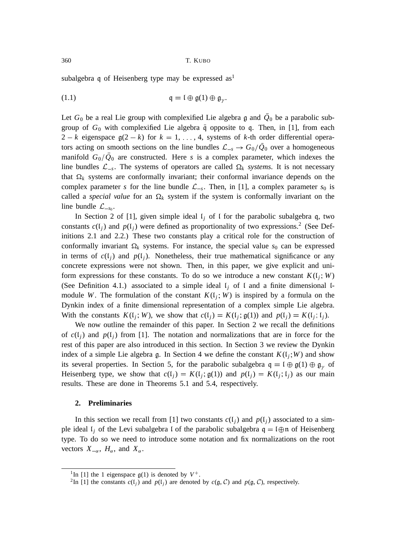subalgebra q of Heisenberg type may be expressed  $as<sup>1</sup>$ 

$$
\mathfrak{q} = \mathfrak{l} \oplus \mathfrak{g}(1) \oplus \mathfrak{g}_{\nu}.
$$

Let  $G_0$  be a real Lie group with complexified Lie algebra  $\mathfrak g$  and  $Q_0$  be a parabolic subgroup of  $G_0$  with complexified Lie algebra  $\overline{q}$  opposite to q. Then, in [1], from each  $2 - k$  eigenspace  $g(2 - k)$  for  $k = 1, \ldots, 4$ , systems of *k*-th order differential operators acting on smooth sections on the line bundles  $\mathcal{L}_{-s} \to G_0/\bar{Q}_0$  over a homogeneous manifold  $G_0/Q_0$  are constructed. Here *s* is a complex parameter, which indexes the line bundles  $\mathcal{L}_{-s}$ . The systems of operators are called  $\Omega_k$  *systems*. It is not necessary that  $\Omega_k$  systems are conformally invariant; their conformal invariance depends on the complex parameter *s* for the line bundle  $\mathcal{L}_{-s}$ . Then, in [1], a complex parameter  $s_0$  is called a *special value* for an  $\Omega_k$  system if the system is conformally invariant on the line bundle  $\mathcal{L}_{-s_0}$ .

In Section 2 of [1], given simple ideal  $I_i$  of 1 for the parabolic subalgebra q, two constants  $c(l_j)$  and  $p(l_j)$  were defined as proportionality of two expressions.<sup>2</sup> (See Definitions 2.1 and 2.2.) These two constants play a critical role for the construction of conformally invariant  $\Omega_k$  systems. For instance, the special value  $s_0$  can be expressed in terms of  $c(l_i)$  and  $p(l_i)$ . Nonetheless, their true mathematical significance or any concrete expressions were not shown. Then, in this paper, we give explicit and uniform expressions for these constants. To do so we introduce a new constant  $K(I_j; W)$ (See Definition 4.1.) associated to a simple ideal  $l_i$  of l and a finite dimensional lmodule *W*. The formulation of the constant  $K(I_j; W)$  is inspired by a formula on the Dynkin index of a finite dimensional representation of a complex simple Lie algebra. With the constants  $K(\mathfrak{l}_j; W)$ , we show that  $c(\mathfrak{l}_j) = K(\mathfrak{l}_j; \mathfrak{g}(1))$  and  $p(\mathfrak{l}_j) = K(\mathfrak{l}_j; \mathfrak{l}_j)$ .

We now outline the remainder of this paper. In Section 2 we recall the definitions of  $c(l_i)$  and  $p(l_i)$  from [1]. The notation and normalizations that are in force for the rest of this paper are also introduced in this section. In Section 3 we review the Dynkin index of a simple Lie algebra g. In Section 4 we define the constant  $K(I_j;W)$  and show its several properties. In Section 5, for the parabolic subalgebra  $q = \mathfrak{l} \oplus g(1) \oplus g$ , of Heisenberg type, we show that  $c(l_j) = K(l_j; \mathfrak{g}(1))$  and  $p(l_j) = K(l_j; l_j)$  as our main results. These are done in Theorems 5.1 and 5.4, respectively.

## **2. Preliminaries**

In this section we recall from [1] two constants  $c(l_i)$  and  $p(l_i)$  associated to a simple ideal  $I_j$  of the Levi subalgebra I of the parabolic subalgebra  $q = I \oplus n$  of Heisenberg type. To do so we need to introduce some notation and fix normalizations on the root vectors  $X_{-\alpha}$ ,  $H_{\alpha}$ , and  $X_{\alpha}$ .

<sup>&</sup>lt;sup>1</sup>In [1] the 1 eigenspace  $g(1)$  is denoted by  $V^+$ .

<sup>&</sup>lt;sup>2</sup>In [1] the constants  $c(l_j)$  and  $p(l_j)$  are denoted by  $c(g, C)$  and  $p(g, C)$ , respectively.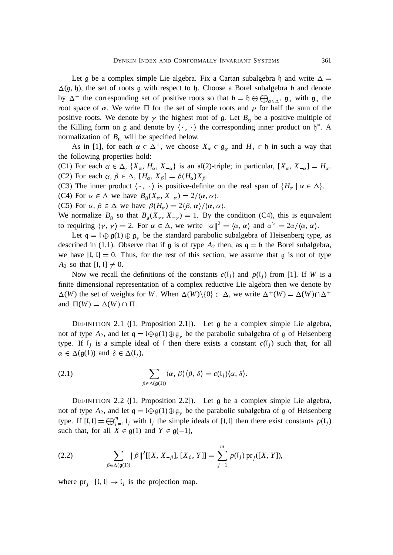Let g be a complex simple Lie algebra. Fix a Cartan subalgebra h and write  $\Delta =$  $\Delta(\mathfrak{g}, \mathfrak{h})$ , the set of roots g with respect to h. Choose a Borel subalgebra b and denote by  $\Delta^+$  the corresponding set of positive roots so that  $\mathfrak{b} = \mathfrak{h} \oplus \bigoplus_{\alpha \in \Delta^+} \mathfrak{g}_{\alpha}$  with  $\mathfrak{g}_{\alpha}$  the root space of  $\alpha$ . We write  $\Pi$  for the set of simple roots and  $\rho$  for half the sum of the positive roots. We denote by  $\gamma$  the highest root of g. Let  $B<sub>g</sub>$  be a positive multiple of the Killing form on g and denote by  $\langle \cdot, \cdot \rangle$  the corresponding inner product on  $\mathfrak{h}^*$ . A normalization of  $B_{\mathfrak{g}}$  will be specified below.

As in [1], for each  $\alpha \in \Delta^+$ , we choose  $X_\alpha \in \mathfrak{g}_\alpha$  and  $H_\alpha \in \mathfrak{h}$  in such a way that the following properties hold:

(C1) For each  $\alpha \in \Delta$ ,  $\{X_{\alpha}, H_{\alpha}, X_{-\alpha}\}\$  is an  $\mathfrak{sl}(2)$ -triple; in particular,  $[X_{\alpha}, X_{-\alpha}] = H_{\alpha}$ . (C2) For each  $\alpha$ ,  $\beta \in \Delta$ ,  $[H_{\alpha}, X_{\beta}] = \beta(H_{\alpha})X_{\beta}$ .

(C3) The inner product  $\langle \cdot, \cdot \rangle$  is positive-definite on the real span of  $\{H_\alpha \mid \alpha \in \Delta\}$ .

(C4) For  $\alpha \in \Delta$  we have  $B_{\mathfrak{g}}(X_{\alpha}, X_{-\alpha}) = 2/\langle \alpha, \alpha \rangle$ .

(C5) For  $\alpha$ ,  $\beta \in \Delta$  we have  $\beta(H_{\alpha}) = 2(\beta, \alpha)/\langle \alpha, \alpha \rangle$ .

We normalize  $B_{\mathfrak{g}}$  so that  $B_{\mathfrak{g}}(X_{\gamma}, X_{-\gamma}) = 1$ . By the condition (C4), this is equivalent to requiring  $\langle \gamma, \gamma \rangle = 2$ . For  $\alpha \in \Delta$ , we write  $\|\alpha\|^2 = \langle \alpha, \alpha \rangle$  and  $\alpha^{\vee} = 2\alpha/\langle \alpha, \alpha \rangle$ .

Let  $q = \mathfrak{l} \oplus g(1) \oplus g_{v}$  be the standard parabolic subalgebra of Heisenberg type, as described in (1.1). Observe that if  $\mathfrak g$  is of type  $A_2$  then, as  $\mathfrak q = \mathfrak b$  the Borel subalgebra, we have  $[I, I] = 0$ . Thus, for the rest of this section, we assume that g is not of type  $A_2$  so that  $[I, I] \neq 0$ .

Now we recall the definitions of the constants  $c(l_i)$  and  $p(l_i)$  from [1]. If *W* is a finite dimensional representation of a complex reductive Lie algebra then we denote by  $\Delta(W)$  the set of weights for *W*. When  $\Delta(W) \setminus \{0\} \subset \Delta$ , we write  $\Delta^+(W) = \Delta(W) \cap \Delta^+$ and  $\Pi(W) = \Delta(W) \cap \Pi$ .

DEFINITION 2.1 ([1, Proposition 2.1]). Let  $\mathfrak g$  be a complex simple Lie algebra, not of type  $A_2$ , and let  $q = \theta \oplus q(1) \oplus q$ , be the parabolic subalgebra of g of Heisenberg type. If  $\mathfrak{l}_j$  is a simple ideal of  $\mathfrak{l}$  then there exists a constant  $c(\mathfrak{l}_j)$  such that, for all  $\alpha \in \Delta(\mathfrak{g}(1))$  and  $\delta \in \Delta(\mathfrak{l}_i)$ ,

(2.1) 
$$
\sum_{\beta \in \Delta(\mathfrak{g}(1))} \langle \alpha, \beta \rangle \langle \beta, \delta \rangle = c(I_j) \langle \alpha, \delta \rangle.
$$

DEFINITION 2.2 ( $[1,$  Proposition 2.2]). Let  $\alpha$  be a complex simple Lie algebra, not of type  $A_2$ , and let  $\mathfrak{q} = \mathfrak{l} \oplus \mathfrak{g}(1) \oplus \mathfrak{g}_{\nu}$  be the parabolic subalgebra of g of Heisenberg type. If  $[I, I] = \bigoplus_{j=1}^{m} I_j$  with  $I_j$  the simple ideals of  $[I, I]$  then there exist constants  $p(I_j)$ such that, for all  $X \in \mathfrak{g}(1)$  and  $Y \in \mathfrak{g}(-1)$ ,

(2.2) 
$$
\sum_{\beta \in \Delta(\mathfrak{g}(1))} \|\beta\|^2 [[X, X_{-\beta}], [X_{\beta}, Y]] = \sum_{j=1}^m p(I_j) \operatorname{pr}_j([X, Y]),
$$

where  $pr_j$  [l, l]  $\rightarrow$  l<sub>j</sub> is the projection map.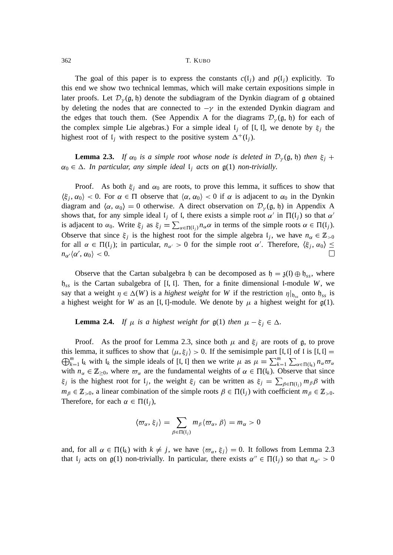The goal of this paper is to express the constants  $c(l_i)$  and  $p(l_i)$  explicitly. To this end we show two technical lemmas, which will make certain expositions simple in later proofs. Let  $\mathcal{D}_{\gamma}(\mathfrak{g}, \mathfrak{h})$  denote the subdiagram of the Dynkin diagram of  $\mathfrak g$  obtained by deleting the nodes that are connected to  $-\gamma$  in the extended Dynkin diagram and the edges that touch them. (See Appendix A for the diagrams  $\mathcal{D}_{\gamma}(\mathfrak{g}, \mathfrak{h})$  for each of the complex simple Lie algebras.) For a simple ideal  $\mathfrak{l}_j$  of [ $\mathfrak{l}, \mathfrak{l}$ ], we denote by  $\xi_j$  the highest root of  $\mathfrak{l}_j$  with respect to the positive system  $\Delta^+(\mathfrak{l}_j)$ .

**Lemma 2.3.** If  $\alpha_0$  is a simple root whose node is deleted in  $\mathcal{D}_{\gamma}(\mathfrak{g},\mathfrak{h})$  then  $\xi_i$  +  $\alpha_0 \in \Delta$ . In particular, any simple ideal  $\mathfrak{l}_i$  acts on  $\mathfrak{g}(1)$  non-trivially.

Proof. As both  $\xi_j$  and  $\alpha_0$  are roots, to prove this lemma, it suffices to show that  $\langle \xi_j, \alpha_0 \rangle$  < 0. For  $\alpha \in \Pi$  observe that  $\langle \alpha, \alpha_0 \rangle$  < 0 if  $\alpha$  is adjacent to  $\alpha_0$  in the Dynkin diagram and  $\langle \alpha, \alpha_0 \rangle = 0$  otherwise. A direct observation on  $\mathcal{D}_{\nu}(\mathfrak{g}, \mathfrak{h})$  in Appendix A shows that, for any simple ideal  $\mathfrak{l}_j$  of  $\mathfrak{l}$ , there exists a simple root  $\alpha'$  in  $\Pi(\mathfrak{l}_j)$  so that  $\alpha'$ is adjacent to  $\alpha_0$ . Write  $\xi_j$  as  $\xi_j = \sum_{\alpha \in \Pi(\mathfrak{l}_j)} n_{\alpha} \alpha$  in terms of the simple roots  $\alpha \in \Pi(\mathfrak{l}_j)$ . Observe that since  $\xi_j$  is the highest root for the simple algebra  $I_j$ , we have  $n_\alpha \in \mathbb{Z}_{>0}$ for all  $\alpha \in \Pi(\mathfrak{l}_j)$ ; in particular,  $n_{\alpha'} > 0$  for the simple root  $\alpha'$ . Therefore,  $\langle \xi_j, \alpha_0 \rangle \leq$  $n_{\alpha'}\langle \alpha',\,\alpha_0\rangle\,< 0.$ П

Observe that the Cartan subalgebra h can be decomposed as  $h = \mathfrak{z}(l) \oplus h_{ss}$ , where  $h_{ss}$  is the Cartan subalgebra of [I, I]. Then, for a finite dimensional I-module *W*, we say that a weight  $\eta \in \Delta(W)$  is a *highest weight* for *W* if the restriction  $\eta|_{\mathfrak{h}_{ss}}$  onto  $\mathfrak{h}_{ss}$  is a highest weight for *W* as an [I, I]-module. We denote by  $\mu$  a highest weight for  $g(1)$ .

#### **Lemma 2.4.** *If*  $\mu$  *is a highest weight for*  $g(1)$  *then*  $\mu - \xi_i \in \Delta$ *.*

Proof. As the proof for Lemma 2.3, since both  $\mu$  and  $\xi_i$  are roots of g, to prove  $\bigoplus_{k=1}^m$   $I_k$  with  $I_k$  the simple ideals of [*l*, *l*] then we write  $\mu$  as  $\mu = \sum_{k=1}^m \sum_{\alpha \in \Pi(I_k)} n_{\alpha} \varpi_{\alpha}$ this lemma, it suffices to show that  $\langle \mu, \xi_i \rangle > 0$ . If the semisimple part [l, l] of l is [l, l] = with  $n_{\alpha} \in \mathbb{Z}_{\geq 0}$ , where  $\varpi_{\alpha}$  are the fundamental weights of  $\alpha \in \Pi(\mathfrak{l}_k)$ . Observe that since  $\xi_j$  is the highest root for  $I_j$ , the weight  $\xi_j$  can be written as  $\xi_j = \sum_{\beta \in \Pi(I_j)} m_{\beta} \beta$  with  $m_{\beta} \in \mathbb{Z}_{>0}$ , a linear combination of the simple roots  $\beta \in \Pi(\mathfrak{l}_i)$  with coefficient  $m_{\beta} \in \mathbb{Z}_{>0}$ . Therefore, for each  $\alpha \in \Pi(\mathfrak{l}_i)$ ,

$$
\langle \varpi_{\alpha}, \xi_j \rangle = \sum_{\beta \in \Pi(\mathfrak{l}_j)} m_{\beta} \langle \varpi_{\alpha}, \beta \rangle = m_{\alpha} > 0
$$

and, for all  $\alpha \in \Pi(\mathfrak{l}_k)$  with  $k \neq j$ , we have  $\langle \varpi_\alpha, \xi_j \rangle = 0$ . It follows from Lemma 2.3 that  $l_j$  acts on  $g(1)$  non-trivially. In particular, there exists  $\alpha'' \in \Pi(l_j)$  so that  $n_{\alpha''} > 0$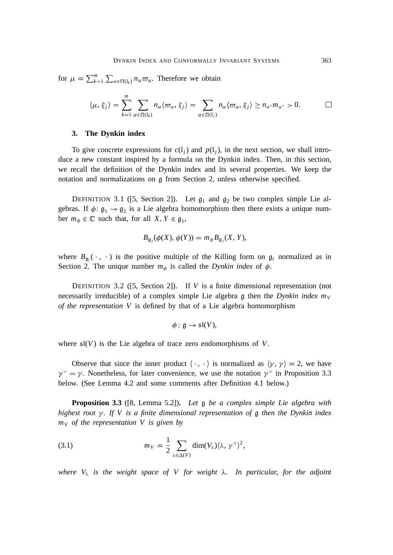for  $\mu = \sum_{k=1}^{m} \sum_{\alpha \in \Pi(\mathfrak{l}_k)} n_{\alpha} \varpi_{\alpha}$ . Therefore we obtain

$$
\langle \mu, \xi_j \rangle = \sum_{k=1}^m \sum_{\alpha \in \Pi(\mathfrak{l}_k)} n_\alpha \langle \varpi_\alpha, \xi_j \rangle = \sum_{\alpha \in \Pi(\mathfrak{l}_j)} n_\alpha \langle \varpi_\alpha, \xi_j \rangle \geq n_{\alpha''} m_{\alpha''} > 0.
$$

#### **3. The Dynkin index**

To give concrete expressions for  $c(l_i)$  and  $p(l_i)$ , in the next section, we shall introduce a new constant inspired by a formula on the Dynkin index. Then, in this section, we recall the definition of the Dynkin index and its several properties. We keep the notation and normalizations on g from Section 2, unless otherwise specified.

DEFINITION 3.1 ([5, Section 2]). Let  $\mathfrak{g}_1$  and  $\mathfrak{g}_2$  be two complex simple Lie algebras. If  $\phi: \mathfrak{g}_1 \to \mathfrak{g}_2$  is a Lie algebra homomorphism then there exists a unique number  $m_{\phi} \in \mathbb{C}$  such that, for all  $X, Y \in \mathfrak{g}_1$ ,

$$
B_{\mathfrak{g}_2}(\phi(X), \phi(Y)) = m_{\phi} B_{\mathfrak{g}_1}(X, Y),
$$

where  $B_{\mathfrak{g}_i}(\cdot, \cdot)$  is the positive multiple of the Killing form on  $\mathfrak{g}_i$  normalized as in Section 2. The unique number  $m_{\phi}$  is called the *Dynkin index* of  $\phi$ .

DEFINITION 3.2 ([5, Section 2]). If *V* is a finite dimensional representation (not necessarily irreducible) of a complex simple Lie algebra g then the *Dynkin index m<sub>V</sub> of the representation V* is defined by that of a Lie algebra homomorphism

$$
\phi: \mathfrak{g} \to \mathfrak{sl}(V),
$$

where  $\mathfrak{sl}(V)$  is the Lie algebra of trace zero endomorphisms of *V*.

Observe that since the inner product  $\langle \cdot, \cdot \rangle$  is normalized as  $\langle \gamma, \gamma \rangle = 2$ , we have  $\gamma^{\vee} = \gamma$ . Nonetheless, for later convenience, we use the notation  $\gamma^{\vee}$  in Proposition 3.3 below. (See Lemma 4.2 and some comments after Definition 4.1 below.)

**Proposition 3.3** ([8, Lemma 5.2])**.** *Let* g *be a complex simple Lie algebra with* highest root  $\gamma$ . If V is a finite dimensional representation of g then the Dynkin index *m<sup>V</sup> of the representation V is given by*

(3.1) 
$$
m_V = \frac{1}{2} \sum_{\lambda \in \Delta(V)} \dim(V_{\lambda}) \langle \lambda, \gamma^{\vee} \rangle^2,
$$

*where*  $V_{\lambda}$  *is the weight space of V for weight*  $\lambda$ *. In particular, for the adjoint*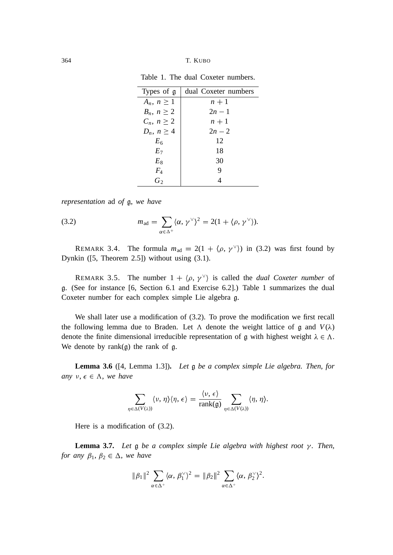| Types of $\alpha$ | dual Coxeter numbers |
|-------------------|----------------------|
| $A_n, n \geq 1$   | $n + 1$              |
| $B_n, n \geq 2$   | $2n-1$               |
| $C_n, n \geq 2$   | $n + 1$              |
| $D_n, n \geq 4$   | $2n - 2$             |
| Eκ                | 12                   |

*E*<sup>7</sup> 18  $E_8$  30 *F*<sup>4</sup> 9  $G_2$  4

Table 1. The dual Coxeter numbers.

*representation* ad *of* g, *we have*

(3.2) 
$$
m_{\text{ad}} = \sum_{\alpha \in \Delta^+} \langle \alpha, \gamma^{\vee} \rangle^2 = 2(1 + \langle \rho, \gamma^{\vee} \rangle).
$$

REMARK 3.4. The formula  $m_{ad} = 2(1 + \langle \rho, \gamma^{\vee} \rangle)$  in (3.2) was first found by Dynkin ([5, Theorem 2.5]) without using (3.1).

REMARK 3.5. The number  $1 + \langle \rho, \gamma^{\vee} \rangle$  is called the *dual Coxeter number* of g. (See for instance [6, Section 6.1 and Exercise 6.2].) Table 1 summarizes the dual Coxeter number for each complex simple Lie algebra g.

We shall later use a modification of (3.2). To prove the modification we first recall the following lemma due to Braden. Let  $\Lambda$  denote the weight lattice of g and  $V(\lambda)$ denote the finite dimensional irreducible representation of g with highest weight  $\lambda \in \Lambda$ . We denote by  $rank(g)$  the rank of g.

**Lemma 3.6** ([4, Lemma 1.3])**.** *Let* g *be a complex simple Lie algebra. Then*, *for any*  $v, \epsilon \in \Lambda$ *, we have* 

$$
\sum_{\eta \in \Delta(V(\lambda))} \langle \nu, \eta \rangle \langle \eta, \epsilon \rangle = \frac{\langle \nu, \epsilon \rangle}{\text{rank}(\mathfrak{g})} \sum_{\eta \in \Delta(V(\lambda))} \langle \eta, \eta \rangle.
$$

Here is a modification of (3.2).

**Lemma 3.7.** Let  $\mathfrak g$  be a complex simple Lie algebra with highest root  $\gamma$ . Then, *for any*  $\beta_1, \beta_2 \in \Delta$ *, we have* 

$$
\|\beta_1\|^2 \sum_{\alpha \in \Delta^+} \langle \alpha, \beta_1^{\vee} \rangle^2 = \|\beta_2\|^2 \sum_{\alpha \in \Delta^+} \langle \alpha, \beta_2^{\vee} \rangle^2.
$$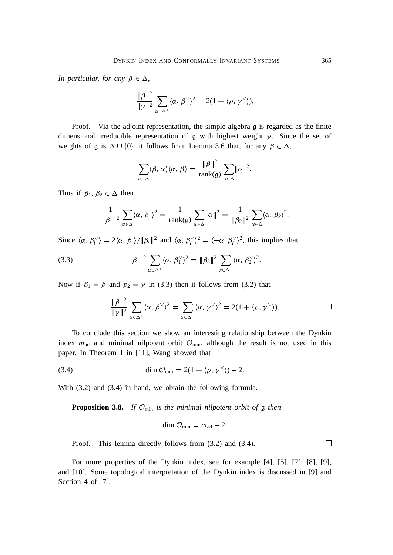*In particular, for any*  $\beta \in \Delta$ ,

$$
\frac{\|\beta\|^2}{\|\gamma\|^2} \sum_{\alpha \in \Delta^+} \langle \alpha, \beta^{\vee} \rangle^2 = 2(1 + \langle \rho, \gamma^{\vee} \rangle).
$$

Proof. Via the adjoint representation, the simple algebra g is regarded as the finite dimensional irreducible representation of  $\mathfrak g$  with highest weight  $\gamma$ . Since the set of weights of  $\mathfrak g$  is  $\Delta \cup \{0\}$ , it follows from Lemma 3.6 that, for any  $\beta \in \Delta$ ,

$$
\sum_{\alpha \in \Delta} \langle \beta, \alpha \rangle \langle \alpha, \beta \rangle = \frac{\|\beta\|^2}{\operatorname{rank}(\mathfrak{g})} \sum_{\alpha \in \Delta} \|\alpha\|^2.
$$

Thus if  $\beta_1, \beta_2 \in \Delta$  then

$$
\frac{1}{\|\beta_1\|^2} \sum_{\alpha \in \Delta} \langle \alpha, \beta_1 \rangle^2 = \frac{1}{\text{rank}(\mathfrak{g})} \sum_{\alpha \in \Delta} \|\alpha\|^2 = \frac{1}{\|\beta_2\|^2} \sum_{\alpha \in \Delta} \langle \alpha, \beta_2 \rangle^2.
$$

Since  $\langle \alpha, \beta_i^{\vee} \rangle = 2 \langle \alpha, \beta_i \rangle / \|\beta_i\|^2$  and  $\langle \alpha, \beta_i^{\vee} \rangle^2 = \langle -\alpha, \beta_i^{\vee} \rangle^2$ , this implies that

(3.3) 
$$
\|\beta_1\|^2 \sum_{\alpha \in \Delta^+} \langle \alpha, \beta_1^{\vee} \rangle^2 = \|\beta_2\|^2 \sum_{\alpha \in \Delta^+} \langle \alpha, \beta_2^{\vee} \rangle^2.
$$

Now if  $\beta_1 = \beta$  and  $\beta_2 = \gamma$  in (3.3) then it follows from (3.2) that

$$
\frac{\|\beta\|^2}{\|\gamma\|^2}\sum_{\alpha\in\Delta^+}\langle\alpha,\,\beta^\vee\rangle^2=\sum_{\alpha\in\Delta^+}\langle\alpha,\,\gamma^\vee\rangle^2=2(1+\langle\rho,\,\gamma^\vee\rangle).
$$

To conclude this section we show an interesting relationship between the Dynkin index  $m_{\text{ad}}$  and minimal nilpotent orbit  $\mathcal{O}_{\text{min}}$ , although the result is not used in this paper. In Theorem 1 in [11], Wang showed that

(3.4) 
$$
\dim \mathcal{O}_{\min} = 2(1 + \langle \rho, \gamma^{\vee} \rangle) - 2.
$$

With (3.2) and (3.4) in hand, we obtain the following formula.

**Proposition 3.8.** *If* Omin *is the minimal nilpotent orbit of* g *then*

$$
\dim \mathcal{O}_{\min} = m_{\text{ad}} - 2.
$$

Proof. This lemma directly follows from (3.2) and (3.4).

For more properties of the Dynkin index, see for example [4], [5], [7], [8], [9], and [10]. Some topological interpretation of the Dynkin index is discussed in [9] and Section 4 of [7].

 $\Box$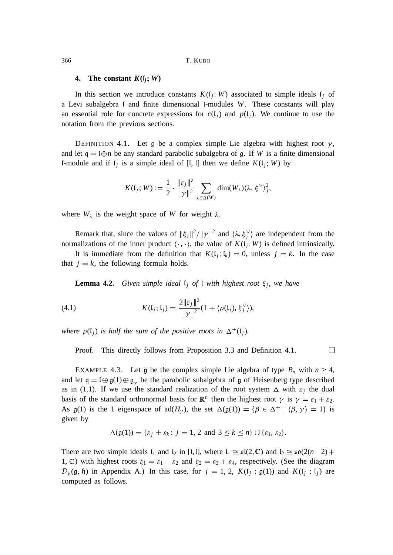#### **4.** The constant  $K(i, W)$

In this section we introduce constants  $K(I_j; W)$  associated to simple ideals  $I_j$  of a Levi subalgebra l and finite dimensional l-modules *W*. These constants will play an essential role for concrete expressions for  $c(l_i)$  and  $p(l_i)$ . We continue to use the notation from the previous sections.

DEFINITION 4.1. Let g be a complex simple Lie algebra with highest root  $\gamma$ , and let  $q = \theta$  let any standard parabolic subalgebra of g. If *W* is a finite dimensional l-module and if  $\mathfrak{l}_j$  is a simple ideal of [l, l] then we define  $K(\mathfrak{l}_j; W)$  by

$$
K(\mathfrak{l}_j;W) := \frac{1}{2} \cdot \frac{\|\xi_j\|^2}{\|\gamma\|^2} \sum_{\lambda \in \Delta(W)} \dim(W_{\lambda}) \langle \lambda, \xi^{\vee} \rangle_j^2,
$$

where  $W_{\lambda}$  is the weight space of W for weight  $\lambda$ .

Remark that, since the values of  $\|\xi_j\|^2 / \|\gamma\|^2$  and  $\langle \lambda, \xi_j^{\vee} \rangle$  are independent from the normalizations of the inner product  $\langle \cdot, \cdot \rangle$ , the value of  $K(\mathfrak{l}_j; W)$  is defined intrinsically.

It is immediate from the definition that  $K(\mathfrak{l}_i; \mathfrak{l}_k) = 0$ , unless  $j = k$ . In the case that  $j = k$ , the following formula holds.

**Lemma 4.2.** *Given simple ideal* l*<sup>j</sup> of* l *with highest root <sup>j</sup>* , *we have*

(4.1) 
$$
K(\mathfrak{l}_j; \mathfrak{l}_j) = \frac{2\|\xi_j\|^2}{\|\gamma\|^2} (1 + \langle \rho(\mathfrak{l}_j), \xi_j^{\vee} \rangle),
$$

where  $\rho(\mathfrak{l}_j)$  is half the sum of the positive roots in  $\Delta^+(\mathfrak{l}_j)$ .

 $\Box$ Proof. This directly follows from Proposition 3.3 and Definition 4.1.

EXAMPLE 4.3. Let g be the complex simple Lie algebra of type  $B_n$  with  $n \geq 4$ , and let  $q = \ell \oplus g(1) \oplus g_{\nu}$  be the parabolic subalgebra of g of Heisenberg type described as in (1.1). If we use the standard realization of the root system  $\Delta$  with  $\varepsilon_j$  the dual basis of the standard orthonormal basis for  $\mathbb{R}^n$  then the highest root  $\gamma$  is  $\gamma = \varepsilon_1 + \varepsilon_2$ . As  $g(1)$  is the 1 eigenspace of  $ad(H_{\gamma})$ , the set  $\Delta(g(1)) = {\beta \in \Delta^+ | \langle \beta, \gamma \rangle = 1}$  is given by

$$
\Delta(\mathfrak{g}(1)) = \{\varepsilon_j \pm \varepsilon_k : j = 1, 2 \text{ and } 3 \le k \le n\} \cup \{\varepsilon_1, \varepsilon_2\}.
$$

There are two simple ideals  $I_1$  and  $I_2$  in [I, I], where  $I_1 \cong \mathfrak{sl}(2,\mathbb{C})$  and  $I_2 \cong \mathfrak{so}(2(n-2)+$ 1, C) with highest roots  $\xi_1 = \varepsilon_1 - \varepsilon_2$  and  $\xi_2 = \varepsilon_3 + \varepsilon_4$ , respectively. (See the diagram  $\mathcal{D}_{\gamma}(\mathfrak{g}, \mathfrak{h})$  in Appendix A.) In this case, for  $j = 1, 2, K(\mathfrak{l}_j : \mathfrak{g}(1))$  and  $K(\mathfrak{l}_j : \mathfrak{l}_j)$  are computed as follows.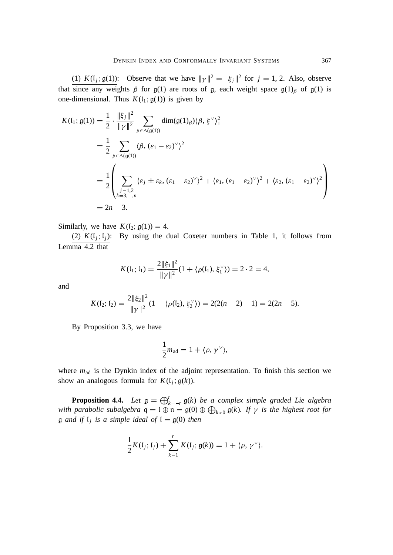(1)  $K(I_j; \mathfrak{g}(1))$ : Observe that we have  $\|\gamma\|^2 = \|\xi_j\|^2$  for  $j = 1, 2$ . Also, observe that since any weights  $\beta$  for  $g(1)$  are roots of g, each weight space  $g(1)_{\beta}$  of  $g(1)$  is one-dimensional. Thus  $K(I_1; \mathfrak{g}(1))$  is given by

$$
K(\mathfrak{l}_{1}; \mathfrak{g}(1)) = \frac{1}{2} \cdot \frac{\|\xi_{j}\|^{2}}{\|\gamma\|^{2}} \sum_{\beta \in \Delta(\mathfrak{g}(1))} \dim(\mathfrak{g}(1)_{\beta}) \langle \beta, \xi^{\vee} \rangle_{1}^{2}
$$
  
\n
$$
= \frac{1}{2} \sum_{\beta \in \Delta(\mathfrak{g}(1))} \langle \beta, (\varepsilon_{1} - \varepsilon_{2})^{\vee} \rangle^{2}
$$
  
\n
$$
= \frac{1}{2} \left( \sum_{\substack{j=1,2\\k=3,\dots,n}} \langle \varepsilon_{j} \pm \varepsilon_{k}, (\varepsilon_{1} - \varepsilon_{2})^{\vee} \rangle^{2} + \langle \varepsilon_{1}, (\varepsilon_{1} - \varepsilon_{2})^{\vee} \rangle^{2} + \langle \varepsilon_{2}, (\varepsilon_{1} - \varepsilon_{2})^{\vee} \rangle^{2} \right)
$$
  
\n
$$
= 2n - 3.
$$

Similarly, we have  $K(l_2; \mathfrak{g}(1)) = 4$ .

(2)  $K(I_j; I_j)$ : By using the dual Coxeter numbers in Table 1, it follows from Lemma 4.2 that

$$
K(\mathfrak{l}_1; \mathfrak{l}_1) = \frac{2 \|\xi_1\|^2}{\|\gamma\|^2} (1 + \langle \rho(\mathfrak{l}_1), \xi_1^{\vee} \rangle) = 2 \cdot 2 = 4,
$$

and

$$
K(\mathfrak{l}_2; \mathfrak{l}_2) = \frac{2 \|\xi_2\|^2}{\|\gamma\|^2} (1 + \langle \rho(\mathfrak{l}_2), \xi_2^{\vee} \rangle) = 2(2(n-2)-1) = 2(2n-5).
$$

By Proposition 3.3, we have

$$
\frac{1}{2}m_{\rm ad}=1+\langle\rho,\,\gamma^\vee\rangle,
$$

where  $m_{ad}$  is the Dynkin index of the adjoint representation. To finish this section we show an analogous formula for  $K(\mathfrak{l}_j; \mathfrak{g}(k)).$ 

**Proposition 4.4.** Let  $\mathfrak{g} = \bigoplus_{k=-r}^{r} \mathfrak{g}(k)$  *be a complex simple graded Lie algebra with parabolic subalgebra*  $q = \mathfrak{l} \oplus \mathfrak{n} = \mathfrak{g}(0) \oplus \bigoplus_{k>0} \mathfrak{g}(k)$ *. If*  $\gamma$  *is the highest root for*  $\mathfrak g$  *and if*  $\mathfrak l_j$  *is a simple ideal of*  $\mathfrak l = \mathfrak g(0)$  *then* 

$$
\frac{1}{2}K(I_j; I_j) + \sum_{k=1}^r K(I_j; \mathfrak{g}(k)) = 1 + \langle \rho, \gamma^{\vee} \rangle.
$$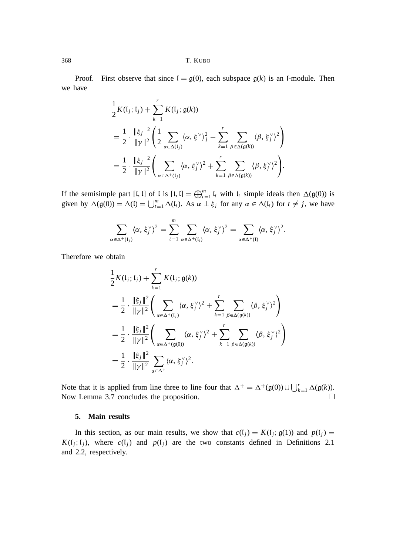Proof. First observe that since  $I = g(0)$ , each subspace  $g(k)$  is an I-module. Then we have

$$
\frac{1}{2}K(I_j; I_j) + \sum_{k=1}^r K(I_j; \mathfrak{g}(k))
$$
\n
$$
= \frac{1}{2} \cdot \frac{\|\xi_j\|^2}{\|\gamma\|^2} \left( \frac{1}{2} \sum_{\alpha \in \Delta(I_j)} \langle \alpha, \xi^{\vee} \rangle_j^2 + \sum_{k=1}^r \sum_{\beta \in \Delta(\mathfrak{g}(k))} \langle \beta, \xi_j^{\vee} \rangle^2 \right)
$$
\n
$$
= \frac{1}{2} \cdot \frac{\|\xi_j\|^2}{\|\gamma\|^2} \left( \sum_{\alpha \in \Delta^+(\mathfrak{l}_j)} \langle \alpha, \xi_j^{\vee} \rangle^2 + \sum_{k=1}^r \sum_{\beta \in \Delta(\mathfrak{g}(k))} \langle \beta, \xi_j^{\vee} \rangle^2 \right).
$$

If the semisimple part [I, I] of I is  $[I, I] = \bigoplus_{t=1}^{m} I_t$  with  $I_t$  simple ideals then  $\Delta(\mathfrak{g}(0))$  is given by  $\Delta(\mathfrak{g}(0)) = \Delta(\mathfrak{l}) = \bigcup_{t=1}^m \Delta(\mathfrak{l}_t)$ . As  $\alpha \perp \xi_j$  for any  $\alpha \in \Delta(\mathfrak{l}_t)$  for  $t \neq j$ , we have

$$
\sum_{\alpha \in \Delta^+(\mathfrak{l}_j)} \langle \alpha, \xi_j^{\vee} \rangle^2 = \sum_{t=1}^m \sum_{\alpha \in \Delta^+(\mathfrak{l}_t)} \langle \alpha, \xi_j^{\vee} \rangle^2 = \sum_{\alpha \in \Delta^+(\mathfrak{l})} \langle \alpha, \xi_j^{\vee} \rangle^2.
$$

Therefore we obtain

$$
\frac{1}{2}K(\mathfrak{l}_{j};\mathfrak{l}_{j}) + \sum_{k=1}^{r} K(\mathfrak{l}_{j};\mathfrak{g}(k))
$$
\n
$$
= \frac{1}{2} \cdot \frac{\|\xi_{j}\|^{2}}{\|\gamma\|^{2}} \left( \sum_{\alpha \in \Delta^{+}(\mathfrak{l}_{j})} \langle \alpha, \xi_{j}^{\vee} \rangle^{2} + \sum_{k=1}^{r} \sum_{\beta \in \Delta(\mathfrak{g}(k))} \langle \beta, \xi_{j}^{\vee} \rangle^{2} \right)
$$
\n
$$
= \frac{1}{2} \cdot \frac{\|\xi_{j}\|^{2}}{\|\gamma\|^{2}} \left( \sum_{\alpha \in \Delta^{+}(\mathfrak{g}(0))} \langle \alpha, \xi_{j}^{\vee} \rangle^{2} + \sum_{k=1}^{r} \sum_{\beta \in \Delta(\mathfrak{g}(k))} \langle \beta, \xi_{j}^{\vee} \rangle^{2} \right)
$$
\n
$$
= \frac{1}{2} \cdot \frac{\|\xi_{j}\|^{2}}{\|\gamma\|^{2}} \sum_{\alpha \in \Delta^{+}} \langle \alpha, \xi_{j}^{\vee} \rangle^{2}.
$$

Note that it is applied from line three to line four that  $\Delta^+ = \Delta^+(\mathfrak{g}(0)) \cup \bigcup_{k=1}^r \Delta(\mathfrak{g}(k))$ . Now Lemma 3.7 concludes the proposition.

### **5. Main results**

In this section, as our main results, we show that  $c(l_j) = K(l_j; \mathfrak{g}(1))$  and  $p(l_j) =$  $K(\mathfrak{l}_j; \mathfrak{l}_j)$ , where  $c(\mathfrak{l}_j)$  and  $p(\mathfrak{l}_j)$  are the two constants defined in Definitions 2.1 and 2.2, respectively.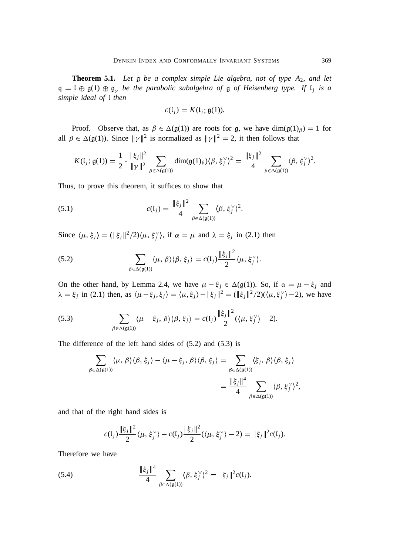**Theorem 5.1.** *Let* g *be a complex simple Lie algebra*, *not of type A*2, *and let*  $\mathfrak{q} = \mathfrak{l} \oplus \mathfrak{g}(1) \oplus \mathfrak{g}_y$  be the parabolic subalgebra of  $\mathfrak{g}$  of Heisenberg type. If  $\mathfrak{l}_j$  is a *simple ideal of* l *then*

$$
c(\mathfrak{l}_j)=K(\mathfrak{l}_j;\mathfrak{g}(1)).
$$

Proof. Observe that, as  $\beta \in \Delta(\mathfrak{g}(1))$  are roots for g, we have  $\dim(\mathfrak{g}(1)_{\beta}) = 1$  for all  $\beta \in \Delta(\mathfrak{g}(1))$ . Since  $\|\gamma\|^2$  is normalized as  $\|\gamma\|^2 = 2$ , it then follows that

$$
K(\mathfrak{l}_j; \mathfrak{g}(1)) = \frac{1}{2} \cdot \frac{\|\xi_j\|^2}{\|\gamma\|^2} \sum_{\beta \in \Delta(\mathfrak{g}(1))} \dim(\mathfrak{g}(1)_{\beta}) \langle \beta, \xi_j^{\vee} \rangle^2 = \frac{\|\xi_j\|^2}{4} \sum_{\beta \in \Delta(\mathfrak{g}(1))} \langle \beta, \xi_j^{\vee} \rangle^2.
$$

Thus, to prove this theorem, it suffices to show that

(5.1) 
$$
c(I_j) = \frac{\|\xi_j\|^2}{4} \sum_{\beta \in \Delta(\mathfrak{g}(1))} \langle \beta, \xi_j^{\vee} \rangle^2.
$$

Since  $\langle \mu, \xi_j \rangle = (\|\xi_j\|^2/2) \langle \mu, \xi_j^{\vee} \rangle$ , if  $\alpha = \mu$  and  $\lambda = \xi_j$  in (2.1) then

(5.2) 
$$
\sum_{\beta \in \Delta(\mathfrak{g}(1))} \langle \mu, \beta \rangle \langle \beta, \xi_j \rangle = c(\mathfrak{l}_j) \frac{\|\xi_j\|^2}{2} \langle \mu, \xi_j^{\vee} \rangle.
$$

On the other hand, by Lemma 2.4, we have  $\mu - \xi_j \in \Delta(\mathfrak{g}(1))$ . So, if  $\alpha = \mu - \xi_j$  and  $\lambda = \xi_j$  in (2.1) then, as  $\langle \mu - \xi_j, \xi_j \rangle = \langle \mu, \xi_j \rangle - ||\xi_j||^2 = (||\xi_j||^2/2)(\langle \mu, \xi_j^{\vee} \rangle - 2)$ , we have

(5.3) 
$$
\sum_{\beta \in \Delta(\mathfrak{g}(1))} \langle \mu - \xi_j, \beta \rangle \langle \beta, \xi_j \rangle = c(I_j) \frac{\|\xi_j\|^2}{2} (\langle \mu, \xi_j^{\vee} \rangle - 2).
$$

The difference of the left hand sides of (5.2) and (5.3) is

$$
\sum_{\beta \in \Delta(\mathfrak{g}(1))} \langle \mu, \beta \rangle \langle \beta, \xi_j \rangle - \langle \mu - \xi_j, \beta \rangle \langle \beta, \xi_j \rangle = \sum_{\beta \in \Delta(\mathfrak{g}(1))} \langle \xi_j, \beta \rangle \langle \beta, \xi_j \rangle
$$

$$
= \frac{\|\xi_j\|^4}{4} \sum_{\beta \in \Delta(\mathfrak{g}(1))} \langle \beta, \xi_j \rangle^2,
$$

and that of the right hand sides is

$$
c(I_j) \frac{\|\xi_j\|^2}{2} \langle \mu, \xi_j^{\vee} \rangle - c(I_j) \frac{\|\xi_j\|^2}{2} \langle \langle \mu, \xi_j^{\vee} \rangle - 2 \rangle = \|\xi_j\|^2 c(I_j).
$$

Therefore we have

(5.4) 
$$
\frac{\|\xi_j\|^4}{4} \sum_{\beta \in \Delta(\mathfrak{g}(1))} \langle \beta, \xi_j^{\vee} \rangle^2 = \|\xi_j\|^2 c(I_j).
$$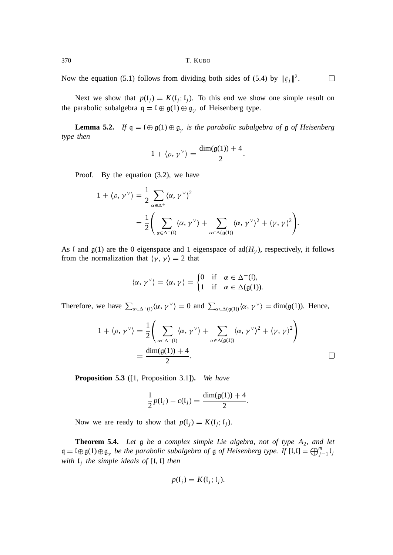Now the equation (5.1) follows from dividing both sides of (5.4) by  $\|\xi_j\|^2$ .  $\Box$ 

Next we show that  $p(l_j) = K(l_j; l_j)$ . To this end we show one simple result on the parabolic subalgebra  $q = \mathfrak{l} \oplus \mathfrak{g}(1) \oplus \mathfrak{g}_{\gamma}$  of Heisenberg type.

**Lemma 5.2.** *If*  $q = \mathfrak{l} \oplus \mathfrak{g}(1) \oplus \mathfrak{g}_{\gamma}$  *is the parabolic subalgebra of*  $\mathfrak{g}$  *of Heisenberg type then*

$$
1+\langle \rho, \gamma^{\vee} \rangle = \frac{\dim(\mathfrak{g}(1))+4}{2}.
$$

Proof. By the equation (3.2), we have

$$
1 + \langle \rho, \gamma^{\vee} \rangle = \frac{1}{2} \sum_{\alpha \in \Delta^{+}} \langle \alpha, \gamma^{\vee} \rangle^{2}
$$
  
= 
$$
\frac{1}{2} \Biggl( \sum_{\alpha \in \Delta^{+}(I)} \langle \alpha, \gamma^{\vee} \rangle + \sum_{\alpha \in \Delta(\mathfrak{g}(I))} \langle \alpha, \gamma^{\vee} \rangle^{2} + \langle \gamma, \gamma \rangle^{2} \Biggr).
$$

As l and  $g(1)$  are the 0 eigenspace and 1 eigenspace of  $ad(H<sub>v</sub>)$ , respectively, it follows from the normalization that  $\langle \gamma, \gamma \rangle = 2$  that

$$
\langle \alpha, \gamma^{\vee} \rangle = \langle \alpha, \gamma \rangle = \begin{cases} 0 & \text{if } \alpha \in \Delta^+(I), \\ 1 & \text{if } \alpha \in \Delta(\mathfrak{g}(1)). \end{cases}
$$

Therefore, we have  $\sum_{\alpha \in \Delta^+(\mathfrak{l})} \langle \alpha, \gamma^\vee \rangle = 0$  and  $\sum_{\alpha \in \Delta(\mathfrak{g}(1))} \langle \alpha, \gamma^\vee \rangle = \dim(\mathfrak{g}(1))$ . Hence,

$$
1 + \langle \rho, \gamma^{\vee} \rangle = \frac{1}{2} \left( \sum_{\alpha \in \Delta^{+}(\mathfrak{l})} \langle \alpha, \gamma^{\vee} \rangle + \sum_{\alpha \in \Delta(\mathfrak{g}(1))} \langle \alpha, \gamma^{\vee} \rangle^{2} + \langle \gamma, \gamma \rangle^{2} \right)
$$
  
= 
$$
\frac{\dim(\mathfrak{g}(1)) + 4}{2}.
$$

**Proposition 5.3** ([1, Proposition 3.1])**.** *We have*

$$
\frac{1}{2}p(I_j) + c(I_j) = \frac{\dim(\mathfrak{g}(1)) + 4}{2}.
$$

Now we are ready to show that  $p(l_j) = K(l_j; l_j)$ .

**Theorem 5.4.** *Let* g *be a complex simple Lie algebra*, *not of type A*2, *and let*  $\mathfrak{q} = \mathfrak{l} \oplus \mathfrak{g}(1) \oplus \mathfrak{g}_{\gamma}$  *be the parabolic subalgebra of*  $\mathfrak{g}$  *of Heisenberg type. If*  $[\mathfrak{l},\mathfrak{l}] = \bigoplus_{j=1}^{m} \mathfrak{l}_{j}$ *with* l*<sup>j</sup> the simple ideals of* [l, l] *then*

$$
p(\mathfrak{l}_j) = K(\mathfrak{l}_j; \mathfrak{l}_j).
$$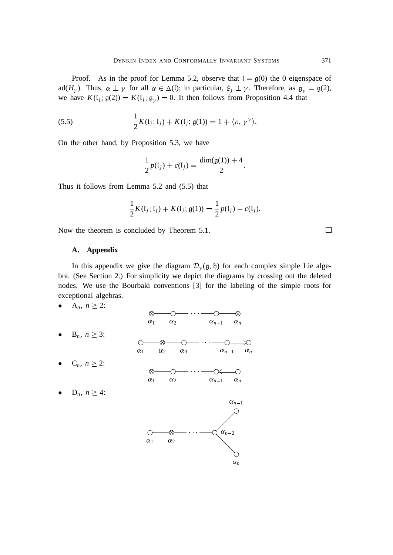Proof. As in the proof for Lemma 5.2, observe that  $I = g(0)$  the 0 eigenspace of ad( $H_{\gamma}$ ). Thus,  $\alpha \perp \gamma$  for all  $\alpha \in \Delta(0)$ ; in particular,  $\xi_j \perp \gamma$ . Therefore, as  $\mathfrak{g}_{\gamma} = \mathfrak{g}(2)$ , we have  $K(\mathfrak{l}_j; \mathfrak{g}(2)) = K(\mathfrak{l}_j; \mathfrak{g}_{\gamma}) = 0$ . It then follows from Proposition 4.4 that

(5.5) 
$$
\frac{1}{2}K(I_j; I_j) + K(I_j; \mathfrak{g}(1)) = 1 + \langle \rho, \gamma^{\vee} \rangle.
$$

On the other hand, by Proposition 5.3, we have

$$
\frac{1}{2}p(I_j) + c(I_j) = \frac{\dim(\mathfrak{g}(1)) + 4}{2}.
$$

Thus it follows from Lemma 5.2 and (5.5) that

$$
\frac{1}{2}K(\mathfrak{l}_j; \mathfrak{l}_j) + K(\mathfrak{l}_j; \mathfrak{g}(1)) = \frac{1}{2}p(\mathfrak{l}_j) + c(\mathfrak{l}_j).
$$

Now the theorem is concluded by Theorem 5.1.

# **A. Appendix**

In this appendix we give the diagram  $\mathcal{D}_{\gamma}(\mathfrak{g}, \mathfrak{h})$  for each complex simple Lie algebra. (See Section 2.) For simplicity we depict the diagrams by crossing out the deleted nodes. We use the Bourbaki conventions [3] for the labeling of the simple roots for exceptional algebras.

• 
$$
A_n, n \geq 2
$$
:

|                                         | ∞<br>$\alpha_2$<br>$\alpha_1$<br>$\alpha_{n-1}$ $\alpha_n$    |            |
|-----------------------------------------|---------------------------------------------------------------|------------|
| $\bullet$ B <sub>n</sub> , $n \geq 3$ : |                                                               |            |
| • $C_n, n \geq 2$ :                     | $\alpha_1$<br>$\alpha_3$<br>$\alpha_2$<br>$\alpha_{n-1}$<br>⊗ | $\alpha_n$ |
| $\bullet$ D <sub>n</sub> , $n \geq 4$ : | $\alpha_2$<br>$\alpha_1$<br>$\alpha_{n-1}$ $\alpha_n$         |            |
|                                         | $\alpha_{n-1}$                                                |            |
|                                         | $\alpha_{n-2}$                                                |            |

 $\alpha_1$   $\alpha_2$ 

 $\Box$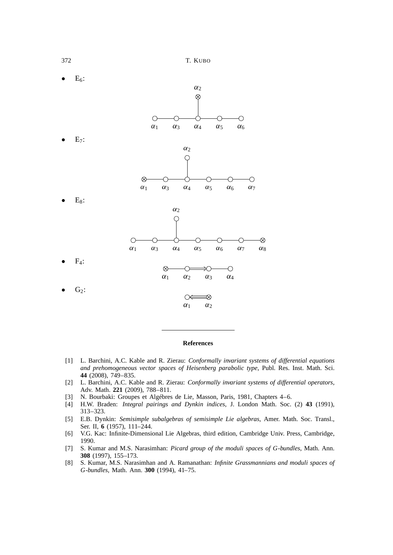

#### **References**

- [1] L. Barchini, A.C. Kable and R. Zierau: *Conformally invariant systems of differential equations and prehomogeneous vector spaces of Heisenberg parabolic type*, Publ. Res. Inst. Math. Sci. **44** (2008), 749–835.
- [2] L. Barchini, A.C. Kable and R. Zierau: *Conformally invariant systems of differential operators*, Adv. Math. **221** (2009), 788–811.
- [3] N. Bourbaki: Groupes et Algébres de Lie, Masson, Paris, 1981, Chapters 4–6.
- [4] H.W. Braden: *Integral pairings and Dynkin indices*, J. London Math. Soc. (2) **43** (1991), 313–323.
- [5] E.B. Dynkin: *Semisimple subalgebras of semisimple Lie algebras*, Amer. Math. Soc. Transl., Ser. II, **6** (1957), 111–244.
- [6] V.G. Kac: Infinite-Dimensional Lie Algebras, third edition, Cambridge Univ. Press, Cambridge, 1990.
- [7] S. Kumar and M.S. Narasimhan: *Picard group of the moduli spaces of G-bundles*, Math. Ann. **308** (1997), 155–173.
- [8] S. Kumar, M.S. Narasimhan and A. Ramanathan: *Infinite Grassmannians and moduli spaces of G-bundles*, Math. Ann. **300** (1994), 41–75.